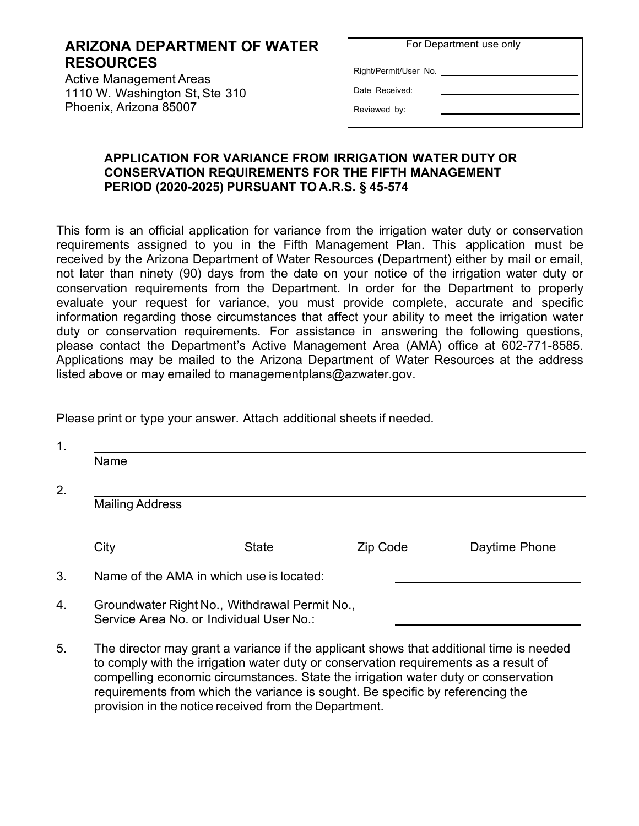## **ARIZONA DEPARTMENT OF WATER RESOURCES**

Active Management Areas 1110 W. Washington St, Ste 310 Phoenix, Arizona 85007

| For Department use only |  |  |
|-------------------------|--|--|
|-------------------------|--|--|

Right/Permit/User No.

Date Received:

Reviewed by:

## **APPLICATION FOR VARIANCE FROM IRRIGATION WATER DUTY OR CONSERVATION REQUIREMENTS FOR THE FIFTH MANAGEMENT PERIOD (2020-2025) PURSUANT TO A.R.S. § 45-574**

This form is an official application for variance from the irrigation water duty or conservation requirements assigned to you in the Fifth Management Plan. This application must be received by the Arizona Department of Water Resources (Department) either by mail or email, not later than ninety (90) days from the date on your notice of the irrigation water duty or conservation requirements from the Department. In order for the Department to properly evaluate your request for variance, you must provide complete, accurate and specific information regarding those circumstances that affect your ability to meet the irrigation water duty or conservation requirements. For assistance in answering the following questions, please contact the Department's Active Management Area (AMA) office at 602-771-8585. Applications may be mailed to the Arizona Department of Water Resources at the address listed above or may emailed to [managementplans@azwater.gov.](mailto:managementplans@azwater.gov)

Please print or type your answer. Attach additional sheets if needed.

provision in the notice received from the Department.

| Name                   |                                                                                                                                                                                                                                                                       |                 |               |
|------------------------|-----------------------------------------------------------------------------------------------------------------------------------------------------------------------------------------------------------------------------------------------------------------------|-----------------|---------------|
| <b>Mailing Address</b> |                                                                                                                                                                                                                                                                       |                 |               |
| City                   | <b>State</b>                                                                                                                                                                                                                                                          | <b>Zip Code</b> | Daytime Phone |
|                        | Name of the AMA in which use is located:                                                                                                                                                                                                                              |                 |               |
|                        | Groundwater Right No., Withdrawal Permit No.,<br>Service Area No. or Individual User No.:                                                                                                                                                                             |                 |               |
|                        | The director may grant a variance if the applicant shows that additional time is needed<br>to comply with the irrigation water duty or conservation requirements as a result of<br>compelling economic circumstances. State the irrigation water duty or conservation |                 |               |

requirements from which the variance is sought. Be specific by referencing the